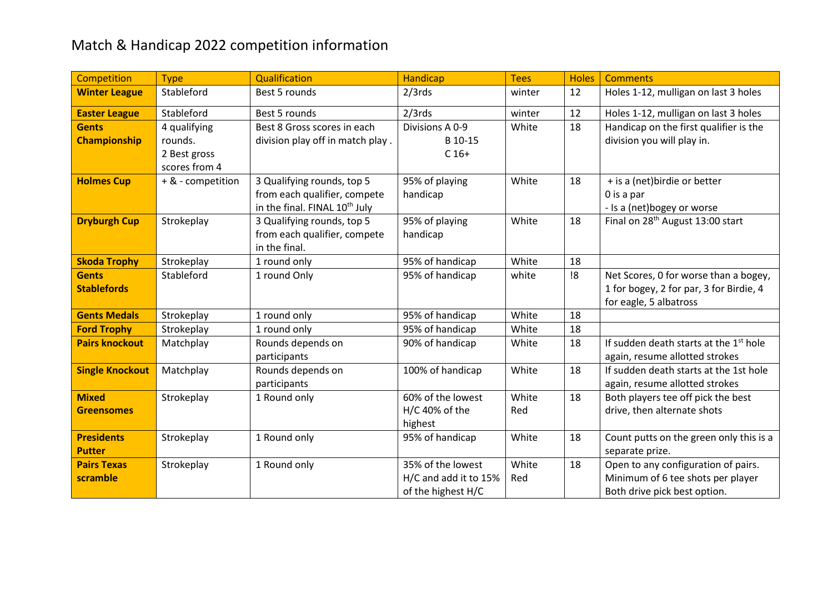## Match & Handicap 2022 competition information

| Competition            | <b>Type</b>       | <b>Qualification</b>                      | <b>Handicap</b>       | <b>Tees</b> | <b>Holes</b> | <b>Comments</b>                                                   |
|------------------------|-------------------|-------------------------------------------|-----------------------|-------------|--------------|-------------------------------------------------------------------|
| <b>Winter League</b>   | Stableford        | Best 5 rounds                             | $2/3$ rds             | winter      | 12           | Holes 1-12, mulligan on last 3 holes                              |
| <b>Easter League</b>   | Stableford        | Best 5 rounds                             | $2/3$ rds             | winter      | 12           | Holes 1-12, mulligan on last 3 holes                              |
| <b>Gents</b>           | 4 qualifying      | Best 8 Gross scores in each               | Divisions A 0-9       | White       | 18           | Handicap on the first qualifier is the                            |
| <b>Championship</b>    | rounds.           | division play off in match play.          | B 10-15               |             |              | division you will play in.                                        |
|                        | 2 Best gross      |                                           | $C$ 16+               |             |              |                                                                   |
|                        | scores from 4     |                                           |                       |             |              |                                                                   |
| <b>Holmes Cup</b>      | + & - competition | 3 Qualifying rounds, top 5                | 95% of playing        | White       | 18           | + is a (net) birdie or better                                     |
|                        |                   | from each qualifier, compete              | handicap              |             |              | $0$ is a par                                                      |
|                        |                   | in the final. FINAL 10 <sup>th</sup> July |                       |             |              | - Is a (net)bogey or worse                                        |
| <b>Dryburgh Cup</b>    | Strokeplay        | 3 Qualifying rounds, top 5                | 95% of playing        | White       | 18           | Final on 28 <sup>th</sup> August 13:00 start                      |
|                        |                   | from each qualifier, compete              | handicap              |             |              |                                                                   |
|                        |                   | in the final.                             |                       |             |              |                                                                   |
| <b>Skoda Trophy</b>    | Strokeplay        | 1 round only                              | 95% of handicap       | White       | 18           |                                                                   |
| <b>Gents</b>           | Stableford        | 1 round Only                              | 95% of handicap       | white       | !8           | Net Scores, 0 for worse than a bogey,                             |
| <b>Stablefords</b>     |                   |                                           |                       |             |              | 1 for bogey, 2 for par, 3 for Birdie, 4<br>for eagle, 5 albatross |
| <b>Gents Medals</b>    | Strokeplay        | 1 round only                              | 95% of handicap       | White       | 18           |                                                                   |
| <b>Ford Trophy</b>     | Strokeplay        | 1 round only                              | 95% of handicap       | White       | 18           |                                                                   |
| <b>Pairs knockout</b>  | Matchplay         | Rounds depends on                         | 90% of handicap       | White       | 18           | If sudden death starts at the 1 <sup>st</sup> hole                |
|                        |                   | participants                              |                       |             |              | again, resume allotted strokes                                    |
| <b>Single Knockout</b> | Matchplay         | Rounds depends on                         | 100% of handicap      | White       | 18           | If sudden death starts at the 1st hole                            |
|                        |                   | participants                              |                       |             |              | again, resume allotted strokes                                    |
| <b>Mixed</b>           | Strokeplay        | 1 Round only                              | 60% of the lowest     | White       | 18           | Both players tee off pick the best                                |
| <b>Greensomes</b>      |                   |                                           | $H/C$ 40% of the      | Red         |              | drive, then alternate shots                                       |
|                        |                   |                                           | highest               |             |              |                                                                   |
| <b>Presidents</b>      | Strokeplay        | 1 Round only                              | 95% of handicap       | White       | 18           | Count putts on the green only this is a                           |
| <b>Putter</b>          |                   |                                           |                       |             |              | separate prize.                                                   |
| <b>Pairs Texas</b>     | Strokeplay        | 1 Round only                              | 35% of the lowest     | White       | 18           | Open to any configuration of pairs.                               |
| scramble               |                   |                                           | H/C and add it to 15% | Red         |              | Minimum of 6 tee shots per player                                 |
|                        |                   |                                           | of the highest H/C    |             |              | Both drive pick best option.                                      |